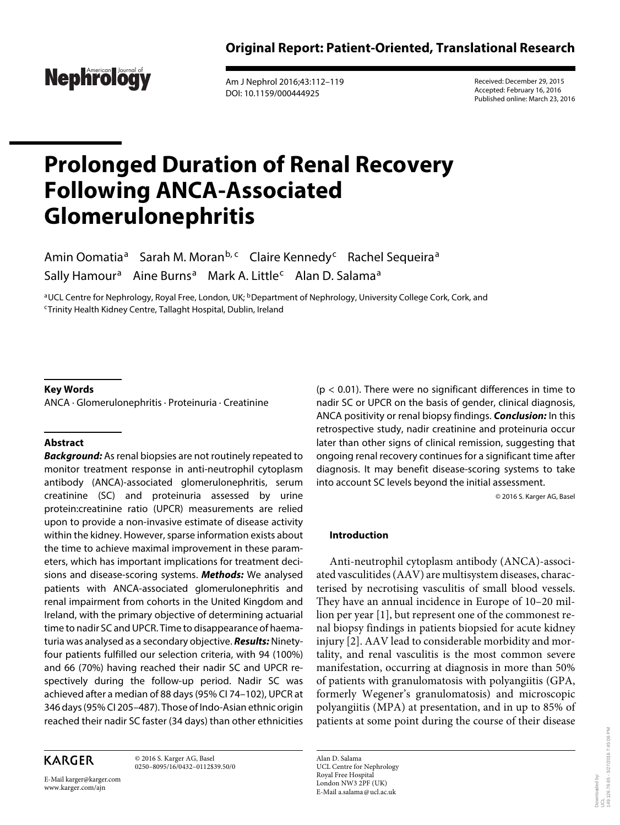

 Am J Nephrol 2016;43:112–119 DOI: 10.1159/000444925

 Received: December 29, 2015 Accepted: February 16, 2016 Published online: March 23, 2016

# **Prolonged Duration of Renal Recovery Following ANCA-Associated Glomerulonephritis**

Amin Oomatia<sup>a</sup> Sarah M. Moran<sup>b, c</sup> Claire Kennedy<sup>c</sup> Rachel Sequeira<sup>a</sup> Sally Hamour<sup>a</sup> Aine Burns<sup>a</sup> Mark A. Little<sup>c</sup> Alan D. Salama<sup>a</sup>

<sup>a</sup> UCL Centre for Nephrology, Royal Free, London, UK; <sup>b</sup> Department of Nephrology, University College Cork, Cork, and<br><sup>c</sup> Trinity Health Kidney Centre, Tallaght Hospital, Dublin, Ireland

## **Key Words**

ANCA · Glomerulonephritis · Proteinuria · Creatinine

# **Abstract**

**Background:** As renal biopsies are not routinely repeated to monitor treatment response in anti-neutrophil cytoplasm antibody (ANCA)-associated glomerulonephritis, serum creatinine (SC) and proteinuria assessed by urine protein:creatinine ratio (UPCR) measurements are relied upon to provide a non-invasive estimate of disease activity within the kidney. However, sparse information exists about the time to achieve maximal improvement in these parameters, which has important implications for treatment decisions and disease-scoring systems. **Methods:** We analysed patients with ANCA-associated glomerulonephritis and renal impairment from cohorts in the United Kingdom and Ireland, with the primary objective of determining actuarial time to nadir SC and UPCR. Time to disappearance of haematuria was analysed as a secondary objective. **Results:** Ninetyfour patients fulfilled our selection criteria, with 94 (100%) and 66 (70%) having reached their nadir SC and UPCR respectively during the follow-up period. Nadir SC was achieved after a median of 88 days (95% CI 74–102), UPCR at 346 days (95% CI 205–487). Those of Indo-Asian ethnic origin reached their nadir SC faster (34 days) than other ethnicities

# **KARGER**

 © 2016 S. Karger AG, Basel 0250–8095/16/0432–0112\$39.50/0

E-Mail karger@karger.com www.karger.com/ajn

 $(p < 0.01)$ . There were no significant differences in time to nadir SC or UPCR on the basis of gender, clinical diagnosis, ANCA positivity or renal biopsy findings. **Conclusion:** In this retrospective study, nadir creatinine and proteinuria occur later than other signs of clinical remission, suggesting that ongoing renal recovery continues for a significant time after diagnosis. It may benefit disease-scoring systems to take into account SC levels beyond the initial assessment.

© 2016 S. Karger AG, Basel

# **Introduction**

 Anti-neutrophil cytoplasm antibody (ANCA)-associated vasculitides (AAV) are multisystem diseases, characterised by necrotising vasculitis of small blood vessels. They have an annual incidence in Europe of 10–20 million per year [1], but represent one of the commonest renal biopsy findings in patients biopsied for acute kidney injury [2]. AAV lead to considerable morbidity and mortality, and renal vasculitis is the most common severe manifestation, occurring at diagnosis in more than 50% of patients with granulomatosis with polyangiitis (GPA, formerly Wegener's granulomatosis) and microscopic polyangiitis (MPA) at presentation, and in up to 85% of patients at some point during the course of their disease

 Alan D. Salama UCL Centre for Nephrology Royal Free Hospital London NW3 2PF (UK) E-Mail a.salama @ ucl.ac.uk

Downloaded by:

aded by: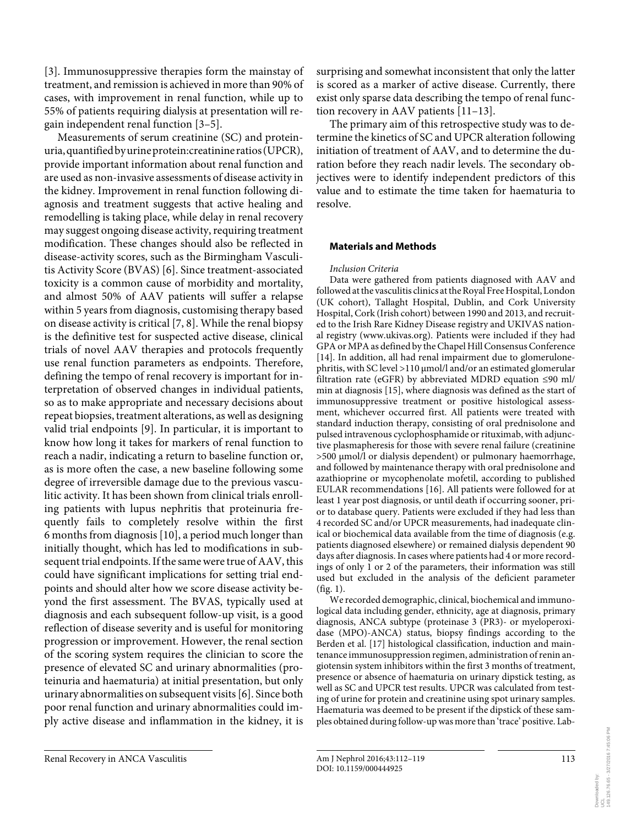[3]. Immunosuppressive therapies form the mainstay of treatment, and remission is achieved in more than 90% of cases, with improvement in renal function, while up to 55% of patients requiring dialysis at presentation will regain independent renal function [3–5] .

 Measurements of serum creatinine (SC) and proteinuria, quantified by urine protein:creatinine ratios (UPCR), provide important information about renal function and are used as non-invasive assessments of disease activity in the kidney. Improvement in renal function following diagnosis and treatment suggests that active healing and remodelling is taking place, while delay in renal recovery may suggest ongoing disease activity, requiring treatment modification. These changes should also be reflected in disease-activity scores, such as the Birmingham Vasculitis Activity Score (BVAS) [6]. Since treatment-associated toxicity is a common cause of morbidity and mortality, and almost 50% of AAV patients will suffer a relapse within 5 years from diagnosis, customising therapy based on disease activity is critical [7, 8] . While the renal biopsy is the definitive test for suspected active disease, clinical trials of novel AAV therapies and protocols frequently use renal function parameters as endpoints. Therefore, defining the tempo of renal recovery is important for interpretation of observed changes in individual patients, so as to make appropriate and necessary decisions about repeat biopsies, treatment alterations, as well as designing valid trial endpoints [9]. In particular, it is important to know how long it takes for markers of renal function to reach a nadir, indicating a return to baseline function or, as is more often the case, a new baseline following some degree of irreversible damage due to the previous vasculitic activity. It has been shown from clinical trials enrolling patients with lupus nephritis that proteinuria frequently fails to completely resolve within the first 6 months from diagnosis [10] , a period much longer than initially thought, which has led to modifications in subsequent trial endpoints. If the same were true of AAV, this could have significant implications for setting trial endpoints and should alter how we score disease activity beyond the first assessment. The BVAS, typically used at diagnosis and each subsequent follow-up visit, is a good reflection of disease severity and is useful for monitoring progression or improvement. However, the renal section of the scoring system requires the clinician to score the presence of elevated SC and urinary abnormalities (proteinuria and haematuria) at initial presentation, but only urinary abnormalities on subsequent visits [6] . Since both poor renal function and urinary abnormalities could imply active disease and inflammation in the kidney, it is surprising and somewhat inconsistent that only the latter is scored as a marker of active disease. Currently, there exist only sparse data describing the tempo of renal function recovery in AAV patients [11-13].

 The primary aim of this retrospective study was to determine the kinetics of SC and UPCR alteration following initiation of treatment of AAV, and to determine the duration before they reach nadir levels. The secondary objectives were to identify independent predictors of this value and to estimate the time taken for haematuria to resolve.

## **Materials and Methods**

## *Inclusion Criteria*

 Data were gathered from patients diagnosed with AAV and followed at the vasculitis clinics at the Royal Free Hospital, London (UK cohort), Tallaght Hospital, Dublin, and Cork University Hospital, Cork (Irish cohort) between 1990 and 2013, and recruited to the Irish Rare Kidney Disease registry and UKIVAS national registry (www.ukivas.org). Patients were included if they had GPA or MPA as defined by the Chapel Hill Consensus Conference [14]. In addition, all had renal impairment due to glomerulonephritis, with SC level >110 μmol/l and/or an estimated glomerular filtration rate (eGFR) by abbreviated MDRD equation  $\leq 90$  ml/ min at diagnosis [15] , where diagnosis was defined as the start of immunosuppressive treatment or positive histological assessment, whichever occurred first. All patients were treated with standard induction therapy, consisting of oral prednisolone and pulsed intravenous cyclophosphamide or rituximab, with adjunctive plasmapheresis for those with severe renal failure (creatinine >500 μmol/l or dialysis dependent) or pulmonary haemorrhage, and followed by maintenance therapy with oral prednisolone and azathioprine or mycophenolate mofetil, according to published EULAR recommendations [16] . All patients were followed for at least 1 year post diagnosis, or until death if occurring sooner, prior to database query. Patients were excluded if they had less than 4 recorded SC and/or UPCR measurements, had inadequate clinical or biochemical data available from the time of diagnosis (e.g. patients diagnosed elsewhere) or remained dialysis dependent 90 days after diagnosis. In cases where patients had 4 or more recordings of only 1 or 2 of the parameters, their information was still used but excluded in the analysis of the deficient parameter  $(fig. 1)$ .

 We recorded demographic, clinical, biochemical and immunological data including gender, ethnicity, age at diagnosis, primary diagnosis, ANCA subtype (proteinase 3 (PR3)- or myeloperoxidase (MPO)-ANCA) status, biopsy findings according to the Berden et al. [17] histological classification, induction and maintenance immunosuppression regimen, administration of renin angiotensin system inhibitors within the first 3 months of treatment, presence or absence of haematuria on urinary dipstick testing, as well as SC and UPCR test results. UPCR was calculated from testing of urine for protein and creatinine using spot urinary samples. Haematuria was deemed to be present if the dipstick of these samples obtained during follow-up was more than 'trace' positive. Lab-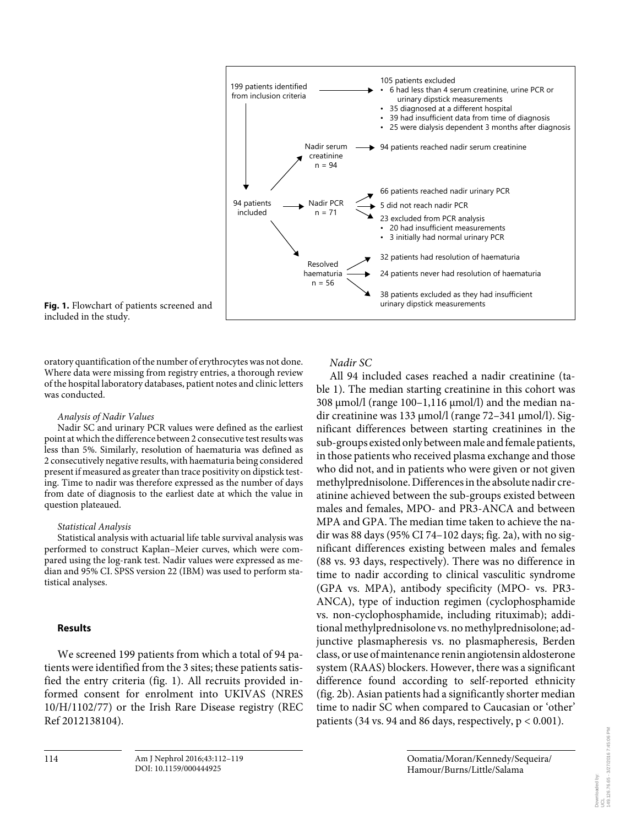

**Fig. 1.** Flowchart of patients screened and included in the study.

oratory quantification of the number of erythrocytes was not done. Where data were missing from registry entries, a thorough review of the hospital laboratory databases, patient notes and clinic letters was conducted.

## *Analysis of Nadir Values*

 Nadir SC and urinary PCR values were defined as the earliest point at which the difference between 2 consecutive test results was less than 5%. Similarly, resolution of haematuria was defined as 2 consecutively negative results, with haematuria being considered present if measured as greater than trace positivity on dipstick testing. Time to nadir was therefore expressed as the number of days from date of diagnosis to the earliest date at which the value in question plateaued.

# *Statistical Analysis*

 Statistical analysis with actuarial life table survival analysis was performed to construct Kaplan–Meier curves, which were compared using the log-rank test. Nadir values were expressed as median and 95% CI. SPSS version 22 (IBM) was used to perform statistical analyses.

# **Results**

 We screened 199 patients from which a total of 94 patients were identified from the 3 sites; these patients satisfied the entry criteria (fig. 1). All recruits provided informed consent for enrolment into UKIVAS (NRES 10/H/1102/77) or the Irish Rare Disease registry (REC Ref 2012138104).

# *Nadir SC*

All 94 included cases reached a nadir creatinine (table 1). The median starting creatinine in this cohort was 308 μmol/l (range 100–1,116 μmol/l) and the median nadir creatinine was 133 μmol/l (range 72–341 μmol/l). Significant differences between starting creatinines in the sub-groups existed only between male and female patients, in those patients who received plasma exchange and those who did not, and in patients who were given or not given methylprednisolone. Differences in the absolute nadir creatinine achieved between the sub-groups existed between males and females, MPO- and PR3-ANCA and between MPA and GPA. The median time taken to achieve the nadir was 88 days (95% CI 74-102 days; fig. 2a), with no significant differences existing between males and females (88 vs. 93 days, respectively). There was no difference in time to nadir according to clinical vasculitic syndrome (GPA vs. MPA), antibody specificity (MPO- vs. PR3- ANCA), type of induction regimen (cyclophosphamide vs. non-cyclophosphamide, including rituximab); additional methylprednisolone vs. no methylprednisolone; adjunctive plasmapheresis vs. no plasmapheresis, Berden class, or use of maintenance renin angiotensin aldosterone system (RAAS) blockers. However, there was a significant difference found according to self-reported ethnicity (fig. 2b). Asian patients had a significantly shorter median time to nadir SC when compared to Caucasian or 'other' patients (34 vs. 94 and 86 days, respectively,  $p < 0.001$ ).

Downloaded by:

vd beloed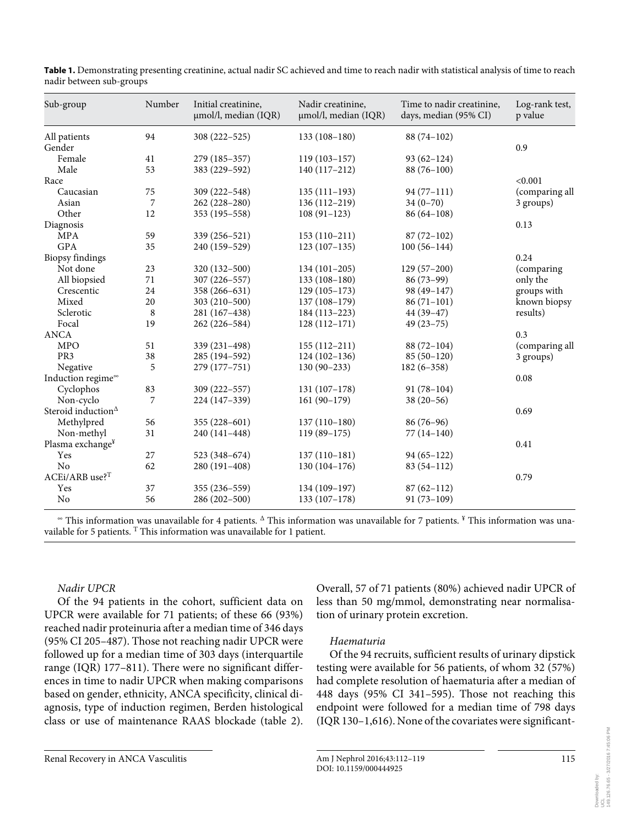| Sub-group                      | Number  | Initial creatinine,<br>µmol/l, median (IQR) | Nadir creatinine,<br>µmol/l, median (IQR) | Time to nadir creatinine,<br>days, median (95% CI) | Log-rank test,<br>p value |
|--------------------------------|---------|---------------------------------------------|-------------------------------------------|----------------------------------------------------|---------------------------|
| All patients                   | 94      | 308 (222-525)                               | $133(108-180)$                            | $88(74-102)$                                       |                           |
| Gender                         |         |                                             |                                           |                                                    | 0.9                       |
| Female                         | 41      | 279 (185-357)                               | $119(103 - 157)$                          | $93(62 - 124)$                                     |                           |
| Male                           | 53      | 383 (229-592)                               | $140(117-212)$                            | $88(76-100)$                                       |                           |
| Race                           |         |                                             |                                           |                                                    | < 0.001                   |
| Caucasian                      | 75      | 309 (222-548)                               | $135(111-193)$                            | $94(77-111)$                                       | (comparing all            |
| Asian                          | 7       | 262 (228-280)                               | $136(112 - 219)$                          | $34(0-70)$                                         | 3 groups)                 |
| Other                          | 12      | 353 (195 - 558)                             | $108(91-123)$                             | $86(64-108)$                                       |                           |
| Diagnosis                      |         |                                             |                                           |                                                    | 0.13                      |
| <b>MPA</b>                     | 59      | 339 (256-521)                               | $153(110-211)$                            | $87(72-102)$                                       |                           |
| <b>GPA</b>                     | 35      | 240 (159-529)                               | $123(107-135)$                            | $100(56-144)$                                      |                           |
| <b>Biopsy</b> findings         |         |                                             |                                           |                                                    | 0.24                      |
| Not done                       | 23      | 320 (132-500)                               | $134(101-205)$                            | $129(57-200)$                                      | (comparing)               |
| All biopsied                   | 71      | 307 (226-557)                               | $133(108-180)$                            | $86(73-99)$                                        | only the                  |
| Crescentic                     | 24      | 358 (266-631)                               | $129(105-173)$                            | 98 (49-147)                                        | groups with               |
| Mixed                          | 20      | $303(210-500)$                              | $137(108-179)$                            | $86(71-101)$                                       | known biopsy              |
| Sclerotic                      | $\,8\,$ | 281 (167-438)                               | 184 (113–223)                             | $44(39-47)$                                        | results)                  |
| Focal                          | 19      | 262 (226-584)                               | $128(112-171)$                            | $49(23 - 75)$                                      |                           |
| <b>ANCA</b>                    |         |                                             |                                           |                                                    | 0.3                       |
| <b>MPO</b>                     | 51      | 339 (231-498)                               | $155(112-211)$                            | $88(72-104)$                                       | (comparing all            |
| PR <sub>3</sub>                | 38      | 285 (194-592)                               | $124(102-136)$                            | $85(50-120)$                                       | 3 groups)                 |
| Negative                       | 5       | 279 (177-751)                               | $130(90-233)$                             | $182(6 - 358)$                                     |                           |
| Induction regime®              |         |                                             |                                           |                                                    | 0.08                      |
| Cyclophos                      | 83      | 309 (222-557)                               | $131(107-178)$                            | $91(78-104)$                                       |                           |
| Non-cyclo                      | 7       | 224 (147-339)                               | $161(90-179)$                             | $38(20-56)$                                        |                           |
| Steroid induction <sup>1</sup> |         |                                             |                                           |                                                    | 0.69                      |
| Methylpred                     | 56      | $355(228-601)$                              | $137(110-180)$                            | $86(76-96)$                                        |                           |
| Non-methyl                     | 31      | 240 (141-448)                               | $119(89-175)$                             | $77(14-140)$                                       |                           |
| Plasma exchange <sup>¥</sup>   |         |                                             |                                           |                                                    | 0.41                      |
| Yes                            | 27      | 523 (348–674)                               | $137(110-181)$                            | $94(65-122)$                                       |                           |
| No                             | 62      | 280 (191-408)                               | $130(104-176)$                            | $83(54-112)$                                       |                           |
| $ACEi/ARB$ use? <sup>T</sup>   |         |                                             |                                           |                                                    | 0.79                      |
| Yes                            | 37      | 355 (236-559)                               | 134 (109-197)                             | $87(62 - 112)$                                     |                           |
| No                             | 56      | 286 (202-500)                               | $133(107-178)$                            | $91(73-109)$                                       |                           |

**Table 1.** Demonstrating presenting creatinine, actual nadir SC achieved and time to reach nadir with statistical analysis of time to reach nadir between sub-groups

 ∞ This information was unavailable for 4 patients. Δ This information was unavailable for 7 patients. ¥ This information was unavailable for 5 patients. <sup>T</sup> This information was unavailable for 1 patient.

# *Nadir UPCR*

 Of the 94 patients in the cohort, sufficient data on UPCR were available for 71 patients; of these 66 (93%) reached nadir proteinuria after a median time of 346 days (95% CI 205–487). Those not reaching nadir UPCR were followed up for a median time of 303 days (interquartile range (IQR) 177–811). There were no significant differences in time to nadir UPCR when making comparisons based on gender, ethnicity, ANCA specificity, clinical diagnosis, type of induction regimen, Berden histological class or use of maintenance RAAS blockade (table 2).

Overall, 57 of 71 patients (80%) achieved nadir UPCR of less than 50 mg/mmol, demonstrating near normalisation of urinary protein excretion.

# *Haematuria*

 Of the 94 recruits, sufficient results of urinary dipstick testing were available for 56 patients, of whom 32 (57%) had complete resolution of haematuria after a median of 448 days (95% CI 341–595). Those not reaching this endpoint were followed for a median time of 798 days (IQR 130–1,616). None of the covariates were significant-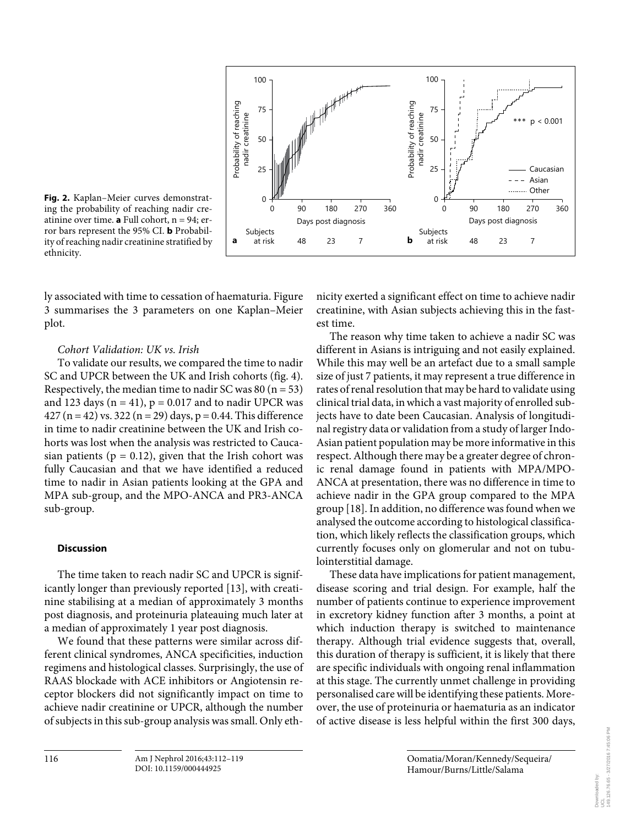

**Fig. 2.** Kaplan–Meier curves demonstrating the probability of reaching nadir creatinine over time. **a** Full cohort,  $n = 94$ ; error bars represent the 95% CI. **b** Probability of reaching nadir creatinine stratified by ethnicity.

ly associated with time to cessation of haematuria. Figure 3 summarises the 3 parameters on one Kaplan–Meier plot.

# *Cohort Validation: UK vs. Irish*

 To validate our results, we compared the time to nadir SC and UPCR between the UK and Irish cohorts (fig. 4). Respectively, the median time to nadir SC was  $80$  (n = 53) and 123 days ( $n = 41$ ),  $p = 0.017$  and to nadir UPCR was 427 (n = 42) vs. 322 (n = 29) days, p = 0.44. This difference in time to nadir creatinine between the UK and Irish cohorts was lost when the analysis was restricted to Caucasian patients ( $p = 0.12$ ), given that the Irish cohort was fully Caucasian and that we have identified a reduced time to nadir in Asian patients looking at the GPA and MPA sub-group, and the MPO-ANCA and PR3-ANCA sub-group.

# **Discussion**

 The time taken to reach nadir SC and UPCR is significantly longer than previously reported [13], with creatinine stabilising at a median of approximately 3 months post diagnosis, and proteinuria plateauing much later at a median of approximately 1 year post diagnosis.

 We found that these patterns were similar across different clinical syndromes, ANCA specificities, induction regimens and histological classes. Surprisingly, the use of RAAS blockade with ACE inhibitors or Angiotensin receptor blockers did not significantly impact on time to achieve nadir creatinine or UPCR, although the number of subjects in this sub-group analysis was small. Only ethnicity exerted a significant effect on time to achieve nadir creatinine, with Asian subjects achieving this in the fastest time.

 The reason why time taken to achieve a nadir SC was different in Asians is intriguing and not easily explained. While this may well be an artefact due to a small sample size of just 7 patients, it may represent a true difference in rates of renal resolution that may be hard to validate using clinical trial data, in which a vast majority of enrolled subjects have to date been Caucasian. Analysis of longitudinal registry data or validation from a study of larger Indo-Asian patient population may be more informative in this respect. Although there may be a greater degree of chronic renal damage found in patients with MPA/MPO-ANCA at presentation, there was no difference in time to achieve nadir in the GPA group compared to the MPA group [18] . In addition, no difference was found when we analysed the outcome according to histological classification, which likely reflects the classification groups, which currently focuses only on glomerular and not on tubulointerstitial damage.

 These data have implications for patient management, disease scoring and trial design. For example, half the number of patients continue to experience improvement in excretory kidney function after 3 months, a point at which induction therapy is switched to maintenance therapy. Although trial evidence suggests that, overall, this duration of therapy is sufficient, it is likely that there are specific individuals with ongoing renal inflammation at this stage. The currently unmet challenge in providing personalised care will be identifying these patients. Moreover, the use of proteinuria or haematuria as an indicator of active disease is less helpful within the first 300 days,

> Oomatia/Moran/Kennedy/Sequeira/ Hamour/Burns/Little/Salama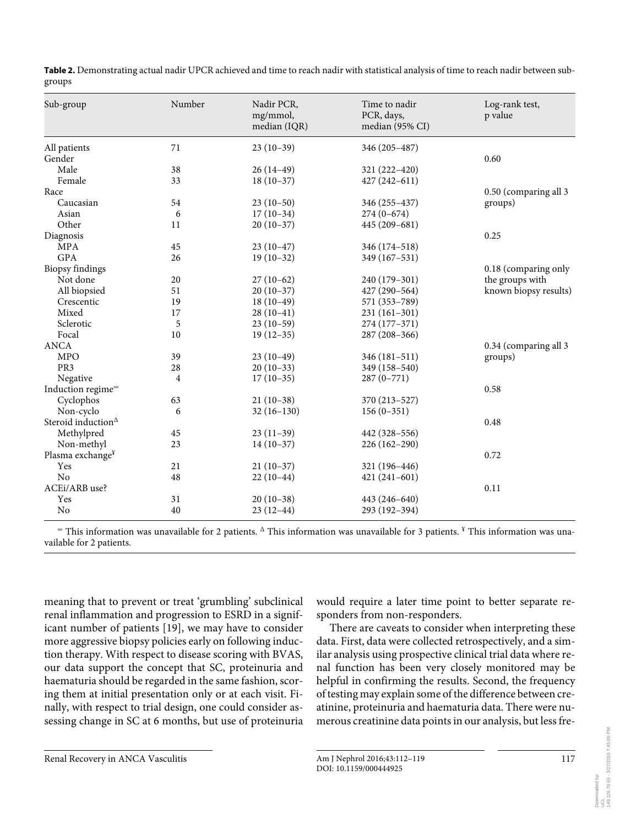| Sub-group                     | Number               | Nadir PCR,<br>mg/mmol,<br>median (IQR) | Time to nadir<br>PCR, days,<br>median (95% CI) | Log-rank test,<br>p value |
|-------------------------------|----------------------|----------------------------------------|------------------------------------------------|---------------------------|
| All patients                  | 71                   | $23(10-39)$                            | 346 (205–487)                                  |                           |
| Gender                        |                      |                                        |                                                | 0.60                      |
| Male                          | 38                   | $26(14-49)$                            | 321 (222-420)                                  |                           |
| Female                        | 33                   | $18(10-37)$                            | $427(242 - 611)$                               |                           |
| Race                          |                      |                                        |                                                | 0.50 (comparing all 3     |
| Caucasian                     | 54                   | $23(10-50)$                            | 346 (255-437)                                  | groups)                   |
| Asian                         | 6                    | $17(10-34)$                            | $274(0-674)$                                   |                           |
| Other                         | 11                   | $20(10-37)$                            | 445 (209-681)                                  |                           |
| Diagnosis                     |                      |                                        |                                                | 0.25                      |
| <b>MPA</b>                    | 45                   | $23(10-47)$                            | 346 (174-518)                                  |                           |
| <b>GPA</b>                    | 26                   | $19(10-32)$                            | 349 (167-531)                                  |                           |
| <b>Biopsy</b> findings        | 0.18 (comparing only |                                        |                                                |                           |
| Not done                      | $20\,$               | $27(10-62)$                            | 240 (179-301)                                  | the groups with           |
| All biopsied                  | 51                   | $20(10-37)$                            | 427 (290-564)                                  | known biopsy results)     |
| Crescentic                    | 19                   | $18(10-49)$                            | 571 (353-789)                                  |                           |
| Mixed                         | 17                   | $28(10-41)$                            | $231(161-301)$                                 |                           |
| Sclerotic                     | 5                    | $23(10-59)$                            | 274 (177-371)                                  |                           |
| Focal                         | 10                   | $19(12-35)$                            | 287 (208-366)                                  |                           |
| <b>ANCA</b>                   |                      |                                        |                                                | 0.34 (comparing all 3     |
| <b>MPO</b>                    | 39                   | $23(10-49)$                            | $346(181 - 511)$                               | groups)                   |
| PR3                           | 28                   | $20(10-33)$                            | 349 (158-540)                                  |                           |
| Negative                      | 4                    | $17(10-35)$                            | $287(0-771)$                                   |                           |
| Induction regime®             |                      |                                        |                                                | 0.58                      |
| Cyclophos                     | 63                   | $21(10-38)$                            | 370 (213-527)                                  |                           |
| Non-cyclo                     | 6                    | $32(16-130)$                           | $156(0-351)$                                   |                           |
| Steroid induction $\triangle$ | 0.48                 |                                        |                                                |                           |
| Methylpred                    | 45                   | $23(11-39)$                            | 442 (328-556)                                  |                           |
| Non-methyl                    | 23                   | $14(10-37)$                            | $226(162-290)$                                 |                           |
| Plasma exchange <sup>¥</sup>  |                      |                                        |                                                | 0.72                      |
| Yes                           | 21                   | $21(10-37)$                            | 321 (196-446)                                  |                           |
| No                            | 48                   | $22(10-44)$                            | $421(241-601)$                                 |                           |
| ACEi/ARB use?                 |                      |                                        |                                                | 0.11                      |
| Yes                           | 31                   | $20(10-38)$                            | 443 (246-640)                                  |                           |
| No                            | 40                   | $23(12-44)$                            | 293 (192–394)                                  |                           |

**Table 2.** Demonstrating actual nadir UPCR achieved and time to reach nadir with statistical analysis of time to reach nadir between subgroups

 ∞ This information was unavailable for 2 patients. Δ This information was unavailable for 3 patients. ¥ This information was unavailable for 2 patients.

meaning that to prevent or treat 'grumbling' subclinical renal inflammation and progression to ESRD in a significant number of patients [19], we may have to consider more aggressive biopsy policies early on following induction therapy. With respect to disease scoring with BVAS, our data support the concept that SC, proteinuria and haematuria should be regarded in the same fashion, scoring them at initial presentation only or at each visit. Finally, with respect to trial design, one could consider assessing change in SC at 6 months, but use of proteinuria

would require a later time point to better separate responders from non-responders.

 There are caveats to consider when interpreting these data. First, data were collected retrospectively, and a similar analysis using prospective clinical trial data where renal function has been very closely monitored may be helpful in confirming the results. Second, the frequency of testing may explain some of the difference between creatinine, proteinuria and haematuria data. There were numerous creatinine data points in our analysis, but less fre-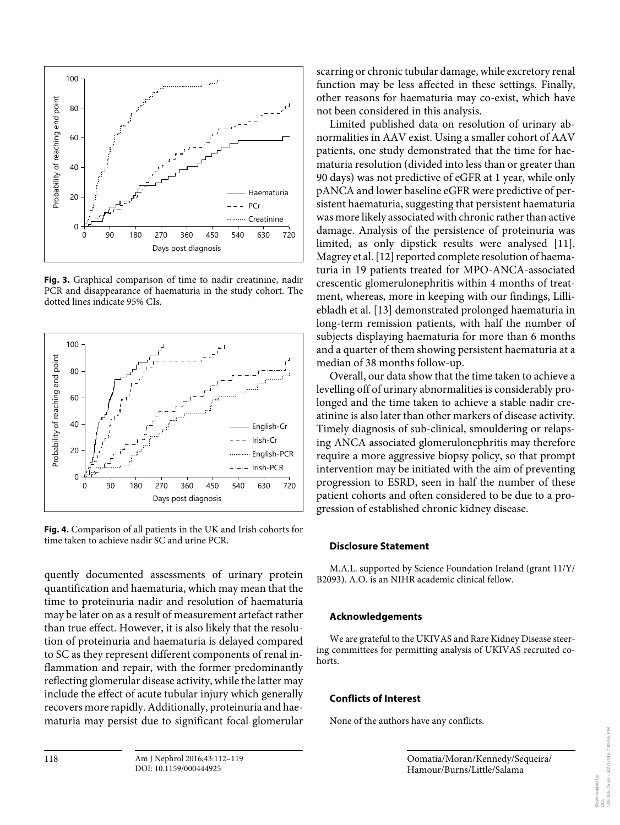

**Fig. 3.** Graphical comparison of time to nadir creatinine, nadir PCR and disappearance of haematuria in the study cohort. The dotted lines indicate 95% CIs.



**Fig. 4.** Comparison of all patients in the UK and Irish cohorts for time taken to achieve nadir SC and urine PCR.

quently documented assessments of urinary protein quantification and haematuria, which may mean that the time to proteinuria nadir and resolution of haematuria may be later on as a result of measurement artefact rather than true effect. However, it is also likely that the resolution of proteinuria and haematuria is delayed compared to SC as they represent different components of renal inflammation and repair, with the former predominantly reflecting glomerular disease activity, while the latter may include the effect of acute tubular injury which generally recovers more rapidly. Additionally, proteinuria and haematuria may persist due to significant focal glomerular

scarring or chronic tubular damage, while excretory renal function may be less affected in these settings. Finally, other reasons for haematuria may co-exist, which have not been considered in this analysis.

 Limited published data on resolution of urinary abnormalities in AAV exist. Using a smaller cohort of AAV patients, one study demonstrated that the time for haematuria resolution (divided into less than or greater than 90 days) was not predictive of eGFR at 1 year, while only pANCA and lower baseline eGFR were predictive of persistent haematuria, suggesting that persistent haematuria was more likely associated with chronic rather than active damage. Analysis of the persistence of proteinuria was limited, as only dipstick results were analysed [11]. Magrey et al. [12] reported complete resolution of haematuria in 19 patients treated for MPO-ANCA-associated crescentic glomerulonephritis within 4 months of treatment, whereas, more in keeping with our findings, Lilliebladh et al.[13] demonstrated prolonged haematuria in long-term remission patients, with half the number of subjects displaying haematuria for more than 6 months and a quarter of them showing persistent haematuria at a median of 38 months follow-up.

 Overall, our data show that the time taken to achieve a levelling off of urinary abnormalities is considerably prolonged and the time taken to achieve a stable nadir creatinine is also later than other markers of disease activity. Timely diagnosis of sub-clinical, smouldering or relapsing ANCA associated glomerulonephritis may therefore require a more aggressive biopsy policy, so that prompt intervention may be initiated with the aim of preventing progression to ESRD, seen in half the number of these patient cohorts and often considered to be due to a progression of established chronic kidney disease.

## **Disclosure Statement**

 M.A.L. supported by Science Foundation Ireland (grant 11/Y/ B2093). A.O. is an NIHR academic clinical fellow.

## **Acknowledgements**

 We are grateful to the UKIVAS and Rare Kidney Disease steering committees for permitting analysis of UKIVAS recruited cohorts.

## **Conflicts of Interest**

None of the authors have any conflicts.